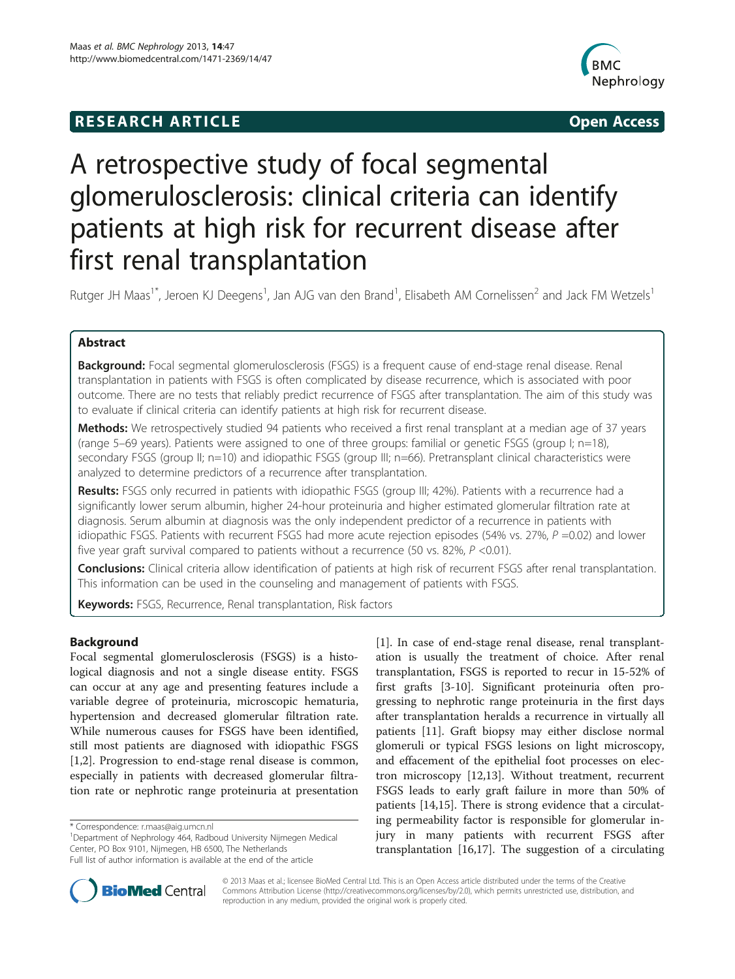# **RESEARCH ARTICLE Example 2014 The SEAR CH ACCESS**



# A retrospective study of focal segmental glomerulosclerosis: clinical criteria can identify patients at high risk for recurrent disease after first renal transplantation

Rutger JH Maas<sup>1\*</sup>, Jeroen KJ Deegens<sup>1</sup>, Jan AJG van den Brand<sup>1</sup>, Elisabeth AM Cornelissen<sup>2</sup> and Jack FM Wetzels<sup>1</sup>

# Abstract

**Background:** Focal segmental glomerulosclerosis (FSGS) is a frequent cause of end-stage renal disease. Renal transplantation in patients with FSGS is often complicated by disease recurrence, which is associated with poor outcome. There are no tests that reliably predict recurrence of FSGS after transplantation. The aim of this study was to evaluate if clinical criteria can identify patients at high risk for recurrent disease.

Methods: We retrospectively studied 94 patients who received a first renal transplant at a median age of 37 years (range 5–69 years). Patients were assigned to one of three groups: familial or genetic FSGS (group I; n=18), secondary FSGS (group II; n=10) and idiopathic FSGS (group III; n=66). Pretransplant clinical characteristics were analyzed to determine predictors of a recurrence after transplantation.

Results: FSGS only recurred in patients with idiopathic FSGS (group III; 42%). Patients with a recurrence had a significantly lower serum albumin, higher 24-hour proteinuria and higher estimated glomerular filtration rate at diagnosis. Serum albumin at diagnosis was the only independent predictor of a recurrence in patients with idiopathic FSGS. Patients with recurrent FSGS had more acute rejection episodes (54% vs. 27%, P = 0.02) and lower five year graft survival compared to patients without a recurrence (50 vs. 82%,  $P$  <0.01).

Conclusions: Clinical criteria allow identification of patients at high risk of recurrent FSGS after renal transplantation. This information can be used in the counseling and management of patients with FSGS.

Keywords: FSGS, Recurrence, Renal transplantation, Risk factors

# Background

Focal segmental glomerulosclerosis (FSGS) is a histological diagnosis and not a single disease entity. FSGS can occur at any age and presenting features include a variable degree of proteinuria, microscopic hematuria, hypertension and decreased glomerular filtration rate. While numerous causes for FSGS have been identified, still most patients are diagnosed with idiopathic FSGS [[1,2\]](#page-6-0). Progression to end-stage renal disease is common, especially in patients with decreased glomerular filtration rate or nephrotic range proteinuria at presentation

[[1\]](#page-6-0). In case of end-stage renal disease, renal transplantation is usually the treatment of choice. After renal transplantation, FSGS is reported to recur in 15-52% of first grafts [\[3](#page-6-0)-[10\]](#page-6-0). Significant proteinuria often progressing to nephrotic range proteinuria in the first days after transplantation heralds a recurrence in virtually all patients [[11\]](#page-6-0). Graft biopsy may either disclose normal glomeruli or typical FSGS lesions on light microscopy, and effacement of the epithelial foot processes on electron microscopy [[12,13\]](#page-6-0). Without treatment, recurrent FSGS leads to early graft failure in more than 50% of patients [\[14,15](#page-6-0)]. There is strong evidence that a circulating permeability factor is responsible for glomerular injury in many patients with recurrent FSGS after transplantation [\[16,17](#page-6-0)]. The suggestion of a circulating



© 2013 Maas et al.; licensee BioMed Central Ltd. This is an Open Access article distributed under the terms of the Creative Commons Attribution License [\(http://creativecommons.org/licenses/by/2.0\)](http://creativecommons.org/licenses/by/2.0), which permits unrestricted use, distribution, and reproduction in any medium, provided the original work is properly cited.

<sup>\*</sup> Correspondence: [r.maas@aig.umcn.nl](mailto:r.maas@aig.umcn.nl) <sup>1</sup>

Department of Nephrology 464, Radboud University Nijmegen Medical Center, PO Box 9101, Nijmegen, HB 6500, The Netherlands

Full list of author information is available at the end of the article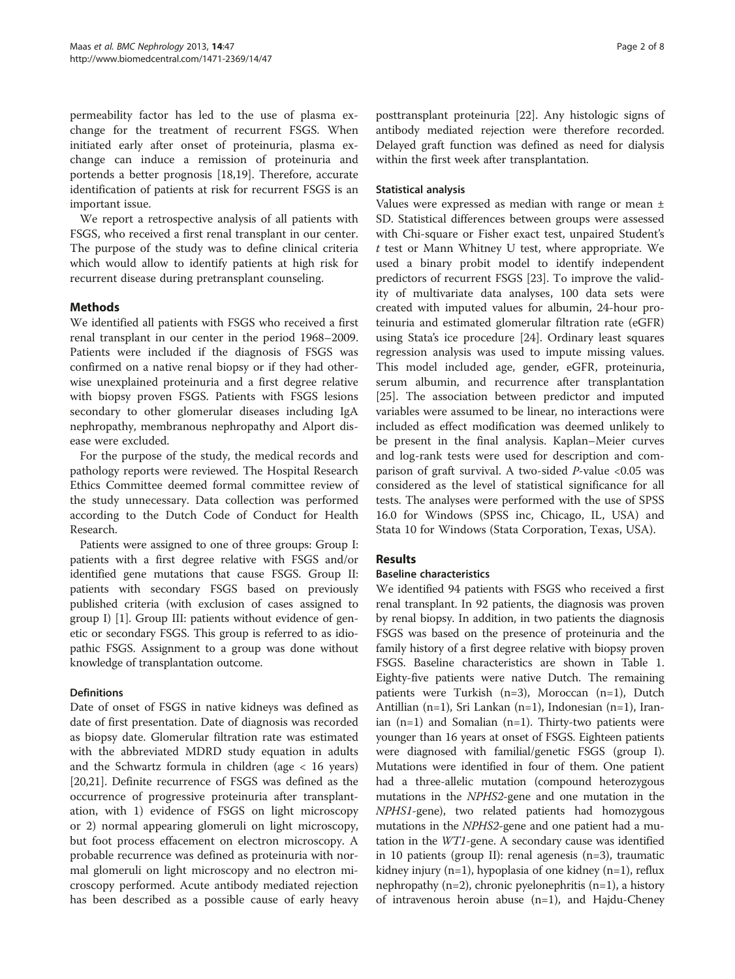permeability factor has led to the use of plasma exchange for the treatment of recurrent FSGS. When initiated early after onset of proteinuria, plasma exchange can induce a remission of proteinuria and portends a better prognosis [\[18,19\]](#page-7-0). Therefore, accurate identification of patients at risk for recurrent FSGS is an important issue.

We report a retrospective analysis of all patients with FSGS, who received a first renal transplant in our center. The purpose of the study was to define clinical criteria which would allow to identify patients at high risk for recurrent disease during pretransplant counseling.

# Methods

We identified all patients with FSGS who received a first renal transplant in our center in the period 1968–2009. Patients were included if the diagnosis of FSGS was confirmed on a native renal biopsy or if they had otherwise unexplained proteinuria and a first degree relative with biopsy proven FSGS. Patients with FSGS lesions secondary to other glomerular diseases including IgA nephropathy, membranous nephropathy and Alport disease were excluded.

For the purpose of the study, the medical records and pathology reports were reviewed. The Hospital Research Ethics Committee deemed formal committee review of the study unnecessary. Data collection was performed according to the Dutch Code of Conduct for Health Research.

Patients were assigned to one of three groups: Group I: patients with a first degree relative with FSGS and/or identified gene mutations that cause FSGS. Group II: patients with secondary FSGS based on previously published criteria (with exclusion of cases assigned to group I) [\[1](#page-6-0)]. Group III: patients without evidence of genetic or secondary FSGS. This group is referred to as idiopathic FSGS. Assignment to a group was done without knowledge of transplantation outcome.

# Definitions

Date of onset of FSGS in native kidneys was defined as date of first presentation. Date of diagnosis was recorded as biopsy date. Glomerular filtration rate was estimated with the abbreviated MDRD study equation in adults and the Schwartz formula in children (age < 16 years) [[20,21\]](#page-7-0). Definite recurrence of FSGS was defined as the occurrence of progressive proteinuria after transplantation, with 1) evidence of FSGS on light microscopy or 2) normal appearing glomeruli on light microscopy, but foot process effacement on electron microscopy. A probable recurrence was defined as proteinuria with normal glomeruli on light microscopy and no electron microscopy performed. Acute antibody mediated rejection has been described as a possible cause of early heavy posttransplant proteinuria [[22\]](#page-7-0). Any histologic signs of antibody mediated rejection were therefore recorded. Delayed graft function was defined as need for dialysis within the first week after transplantation.

# Statistical analysis

Values were expressed as median with range or mean ± SD. Statistical differences between groups were assessed with Chi-square or Fisher exact test, unpaired Student's  $t$  test or Mann Whitney U test, where appropriate. We used a binary probit model to identify independent predictors of recurrent FSGS [[23\]](#page-7-0). To improve the validity of multivariate data analyses, 100 data sets were created with imputed values for albumin, 24-hour proteinuria and estimated glomerular filtration rate (eGFR) using Stata's ice procedure [[24](#page-7-0)]. Ordinary least squares regression analysis was used to impute missing values. This model included age, gender, eGFR, proteinuria, serum albumin, and recurrence after transplantation [[25\]](#page-7-0). The association between predictor and imputed variables were assumed to be linear, no interactions were included as effect modification was deemed unlikely to be present in the final analysis. Kaplan–Meier curves and log-rank tests were used for description and comparison of graft survival. A two-sided P-value <0.05 was considered as the level of statistical significance for all tests. The analyses were performed with the use of SPSS 16.0 for Windows (SPSS inc, Chicago, IL, USA) and Stata 10 for Windows (Stata Corporation, Texas, USA).

# Results

# Baseline characteristics

We identified 94 patients with FSGS who received a first renal transplant. In 92 patients, the diagnosis was proven by renal biopsy. In addition, in two patients the diagnosis FSGS was based on the presence of proteinuria and the family history of a first degree relative with biopsy proven FSGS. Baseline characteristics are shown in Table [1](#page-2-0). Eighty-five patients were native Dutch. The remaining patients were Turkish (n=3), Moroccan (n=1), Dutch Antillian (n=1), Sri Lankan (n=1), Indonesian (n=1), Iranian  $(n=1)$  and Somalian  $(n=1)$ . Thirty-two patients were younger than 16 years at onset of FSGS. Eighteen patients were diagnosed with familial/genetic FSGS (group I). Mutations were identified in four of them. One patient had a three-allelic mutation (compound heterozygous mutations in the NPHS2-gene and one mutation in the NPHS1-gene), two related patients had homozygous mutations in the NPHS2-gene and one patient had a mutation in the WT1-gene. A secondary cause was identified in 10 patients (group II): renal agenesis (n=3), traumatic kidney injury (n=1), hypoplasia of one kidney (n=1), reflux nephropathy (n=2), chronic pyelonephritis (n=1), a history of intravenous heroin abuse (n=1), and Hajdu-Cheney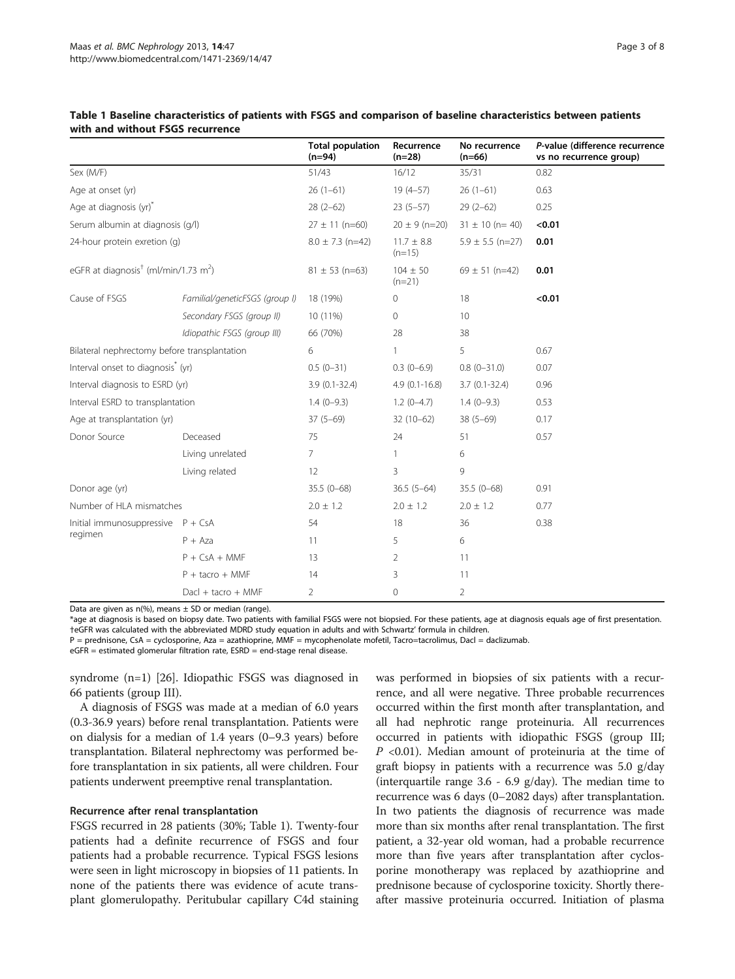|                                                              |                                     | <b>Total population</b><br>$(n=94)$ | Recurrence<br>$(n=28)$     | No recurrence<br>$(n=66)$ | P-value (difference recurrence<br>vs no recurrence group) |
|--------------------------------------------------------------|-------------------------------------|-------------------------------------|----------------------------|---------------------------|-----------------------------------------------------------|
| Sex (M/F)                                                    |                                     | 51/43                               | 16/12                      | 35/31                     | 0.82                                                      |
| Age at onset (yr)                                            |                                     | $26(1-61)$                          | $19(4-57)$                 | $26(1-61)$                | 0.63                                                      |
| Age at diagnosis (yr) <sup>*</sup>                           |                                     | $28(2-62)$                          | $23(5-57)$                 | $29(2-62)$                | 0.25                                                      |
| Serum albumin at diagnosis (g/l)                             |                                     | $27 \pm 11$ (n=60)                  | $20 \pm 9$ (n=20)          | $31 \pm 10$ (n= 40)       | < 0.01                                                    |
| 24-hour protein exretion (g)                                 |                                     | $8.0 \pm 7.3$ (n=42)                | $11.7 \pm 8.8$<br>$(n=15)$ | $5.9 \pm 5.5$ (n=27)      | 0.01                                                      |
| eGFR at diagnosis <sup>†</sup> (ml/min/1.73 m <sup>2</sup> ) |                                     | $81 \pm 53$ (n=63)                  | $104 \pm 50$<br>$(n=21)$   | $69 \pm 51$ (n=42)        | 0.01                                                      |
| Cause of FSGS                                                | Familial/geneticFSGS (group I)      | 18 (19%)                            | 0                          | 18                        | < 0.01                                                    |
|                                                              | Secondary FSGS (group II)           | 10 (11%)                            | $\Omega$                   | 10                        |                                                           |
|                                                              | Idiopathic FSGS (group III)         | 66 (70%)                            | 28                         | 38                        |                                                           |
| Bilateral nephrectomy before transplantation                 |                                     | 6                                   | $\mathbf{1}$               | 5                         | 0.67                                                      |
| Interval onset to diagnosis <sup>*</sup> (yr)                |                                     | $0.5(0-31)$                         | $0.3(0-6.9)$               | $0.8(0-31.0)$             | 0.07                                                      |
| Interval diagnosis to ESRD (yr)                              |                                     | $3.9(0.1 - 32.4)$                   | $4.9(0.1-16.8)$            | $3.7(0.1 - 32.4)$         | 0.96                                                      |
| Interval ESRD to transplantation                             |                                     | $1.4(0-9.3)$                        | $1.2(0-4.7)$               | $1.4(0-9.3)$              | 0.53                                                      |
| Age at transplantation (yr)                                  |                                     | $37(5-69)$                          | $32(10-62)$                | $38(5 - 69)$              | 0.17                                                      |
| Donor Source                                                 | Deceased                            | 75                                  | 24                         | 51                        | 0.57                                                      |
|                                                              | Living unrelated                    | $\overline{7}$                      | $\mathbf{1}$               | 6                         |                                                           |
|                                                              | Living related                      | 12                                  | 3                          | 9                         |                                                           |
| Donor age (yr)                                               |                                     | $35.5(0-68)$                        | $36.5(5-64)$               | $35.5(0-68)$              | 0.91                                                      |
| Number of HLA mismatches                                     |                                     | $2.0 \pm 1.2$                       | $2.0 \pm 1.2$              | $2.0 \pm 1.2$             | 0.77                                                      |
| Initial immunosuppressive $P + CsA$<br>regimen               |                                     | 54                                  | 18                         | 36                        | 0.38                                                      |
|                                                              | $P + Aza$                           | 11                                  | 5                          | 6                         |                                                           |
|                                                              | $P + CsA + MMF$                     | 13                                  | $\overline{2}$             | 11                        |                                                           |
|                                                              | $P + \text{taccro} + \text{MMF}$    | 14                                  | 3                          | 11                        |                                                           |
|                                                              | $Dacl + \text{taccro} + \text{MMF}$ | 2                                   | 0                          | $\overline{2}$            |                                                           |

#### <span id="page-2-0"></span>Table 1 Baseline characteristics of patients with FSGS and comparison of baseline characteristics between patients with and without FSGS recurrence

Data are given as  $n$ (%), means  $\pm$  SD or median (range).

\*age at diagnosis is based on biopsy date. Two patients with familial FSGS were not biopsied. For these patients, age at diagnosis equals age of first presentation. †eGFR was calculated with the abbreviated MDRD study equation in adults and with Schwartz' formula in children.

P = prednisone, CsA = cyclosporine, Aza = azathioprine, MMF = mycophenolate mofetil, Tacro=tacrolimus, Dacl = daclizumab.

eGFR = estimated glomerular filtration rate, ESRD = end-stage renal disease.

syndrome (n=1) [[26](#page-7-0)]. Idiopathic FSGS was diagnosed in 66 patients (group III).

A diagnosis of FSGS was made at a median of 6.0 years (0.3-36.9 years) before renal transplantation. Patients were on dialysis for a median of 1.4 years (0–9.3 years) before transplantation. Bilateral nephrectomy was performed before transplantation in six patients, all were children. Four patients underwent preemptive renal transplantation.

#### Recurrence after renal transplantation

FSGS recurred in 28 patients (30%; Table 1). Twenty-four patients had a definite recurrence of FSGS and four patients had a probable recurrence. Typical FSGS lesions were seen in light microscopy in biopsies of 11 patients. In none of the patients there was evidence of acute transplant glomerulopathy. Peritubular capillary C4d staining was performed in biopsies of six patients with a recurrence, and all were negative. Three probable recurrences occurred within the first month after transplantation, and all had nephrotic range proteinuria. All recurrences occurred in patients with idiopathic FSGS (group III;  $P \leq 0.01$ ). Median amount of proteinuria at the time of graft biopsy in patients with a recurrence was 5.0 g/day (interquartile range 3.6 - 6.9 g/day). The median time to recurrence was 6 days (0–2082 days) after transplantation. In two patients the diagnosis of recurrence was made more than six months after renal transplantation. The first patient, a 32-year old woman, had a probable recurrence more than five years after transplantation after cyclosporine monotherapy was replaced by azathioprine and prednisone because of cyclosporine toxicity. Shortly thereafter massive proteinuria occurred. Initiation of plasma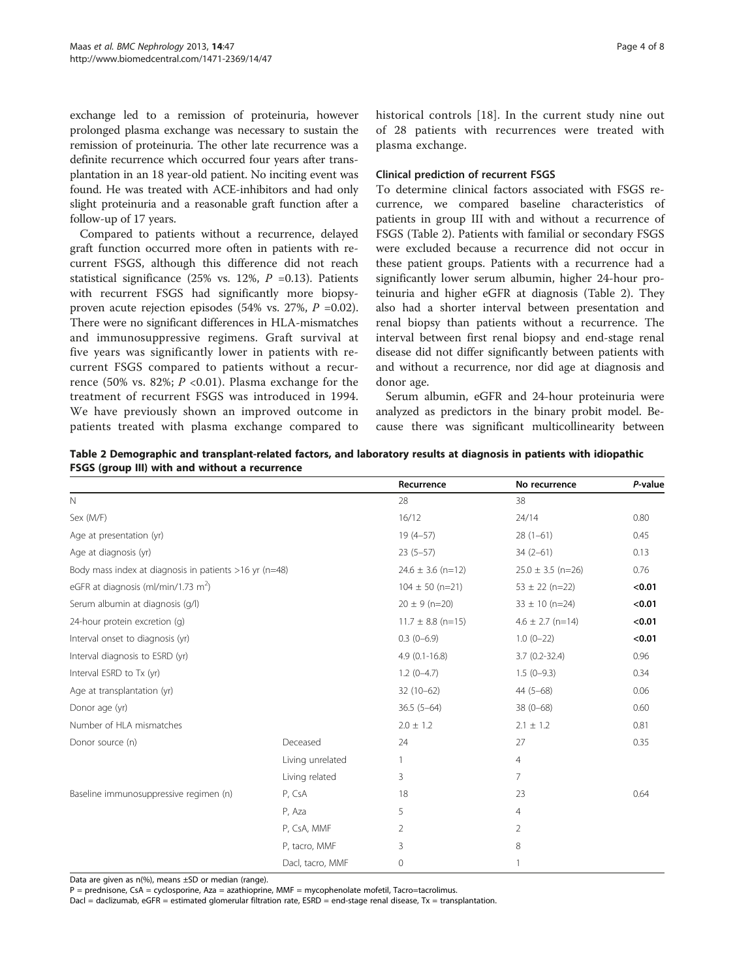exchange led to a remission of proteinuria, however prolonged plasma exchange was necessary to sustain the remission of proteinuria. The other late recurrence was a definite recurrence which occurred four years after transplantation in an 18 year-old patient. No inciting event was found. He was treated with ACE-inhibitors and had only slight proteinuria and a reasonable graft function after a follow-up of 17 years.

Compared to patients without a recurrence, delayed graft function occurred more often in patients with recurrent FSGS, although this difference did not reach statistical significance (25% vs. 12%,  $P = 0.13$ ). Patients with recurrent FSGS had significantly more biopsyproven acute rejection episodes (54% vs. 27%,  $P = 0.02$ ). There were no significant differences in HLA-mismatches and immunosuppressive regimens. Graft survival at five years was significantly lower in patients with recurrent FSGS compared to patients without a recurrence (50% vs. 82%;  $P < 0.01$ ). Plasma exchange for the treatment of recurrent FSGS was introduced in 1994. We have previously shown an improved outcome in patients treated with plasma exchange compared to historical controls [[18\]](#page-7-0). In the current study nine out of 28 patients with recurrences were treated with plasma exchange.

#### Clinical prediction of recurrent FSGS

To determine clinical factors associated with FSGS recurrence, we compared baseline characteristics of patients in group III with and without a recurrence of FSGS (Table 2). Patients with familial or secondary FSGS were excluded because a recurrence did not occur in these patient groups. Patients with a recurrence had a significantly lower serum albumin, higher 24-hour proteinuria and higher eGFR at diagnosis (Table 2). They also had a shorter interval between presentation and renal biopsy than patients without a recurrence. The interval between first renal biopsy and end-stage renal disease did not differ significantly between patients with and without a recurrence, nor did age at diagnosis and donor age.

Serum albumin, eGFR and 24-hour proteinuria were analyzed as predictors in the binary probit model. Because there was significant multicollinearity between

| Table 2 Demographic and transplant-related factors, and laboratory results at diagnosis in patients with idiopathic |  |  |
|---------------------------------------------------------------------------------------------------------------------|--|--|
| FSGS (group III) with and without a recurrence                                                                      |  |  |

|                                                        |                  | Recurrence            | No recurrence         | P-value |
|--------------------------------------------------------|------------------|-----------------------|-----------------------|---------|
| $\mathsf{N}$                                           |                  | 28                    | 38                    |         |
| Sex (M/F)                                              |                  | 16/12                 | 24/14                 | 0.80    |
| Age at presentation (yr)                               |                  | $19(4-57)$            | $28(1-61)$            | 0.45    |
| Age at diagnosis (yr)                                  |                  | $23(5-57)$            | $34(2-61)$            | 0.13    |
| Body mass index at diagnosis in patients >16 yr (n=48) |                  | $24.6 \pm 3.6$ (n=12) | $25.0 \pm 3.5$ (n=26) | 0.76    |
| eGFR at diagnosis (ml/min/1.73 m <sup>2</sup> )        |                  | $104 \pm 50$ (n=21)   | $53 \pm 22$ (n=22)    | < 0.01  |
| Serum albumin at diagnosis (g/l)                       |                  | $20 \pm 9$ (n=20)     | $33 \pm 10$ (n=24)    | < 0.01  |
| 24-hour protein excretion (q)                          |                  | $11.7 \pm 8.8$ (n=15) | $4.6 \pm 2.7$ (n=14)  | < 0.01  |
| Interval onset to diagnosis (yr)                       |                  | $0.3(0-6.9)$          | $1.0(0-22)$           | < 0.01  |
| Interval diagnosis to ESRD (yr)                        |                  | $4.9(0.1 - 16.8)$     | $3.7(0.2 - 32.4)$     | 0.96    |
| Interval ESRD to Tx (yr)                               |                  | $1.2(0-4.7)$          | $1.5(0-9.3)$          | 0.34    |
| Age at transplantation (yr)                            |                  | $32(10-62)$           | $44(5-68)$            | 0.06    |
| Donor age (yr)                                         |                  | $36.5(5-64)$          | $38(0 - 68)$          | 0.60    |
| Number of HLA mismatches                               |                  | $2.0 \pm 1.2$         | $2.1 \pm 1.2$         | 0.81    |
| Donor source (n)                                       | Deceased         | 24                    | 27                    | 0.35    |
|                                                        | Living unrelated | 1                     | 4                     |         |
|                                                        | Living related   | 3                     | $\overline{7}$        |         |
| Baseline immunosuppressive regimen (n)                 | P, CsA           | 18                    | 23                    | 0.64    |
|                                                        | P, Aza           | 5                     | 4                     |         |
|                                                        | P, CsA, MMF      | $\overline{2}$        | $\overline{2}$        |         |
|                                                        | P, tacro, MMF    | 3                     | 8                     |         |
|                                                        | Dacl, tacro, MMF | 0                     | 1                     |         |

Data are given as n(%), means ±SD or median (range).

P = prednisone, CsA = cyclosporine, Aza = azathioprine, MMF = mycophenolate mofetil, Tacro=tacrolimus.

Dacl = daclizumab, eGFR = estimated glomerular filtration rate, ESRD = end-stage renal disease, Tx = transplantation.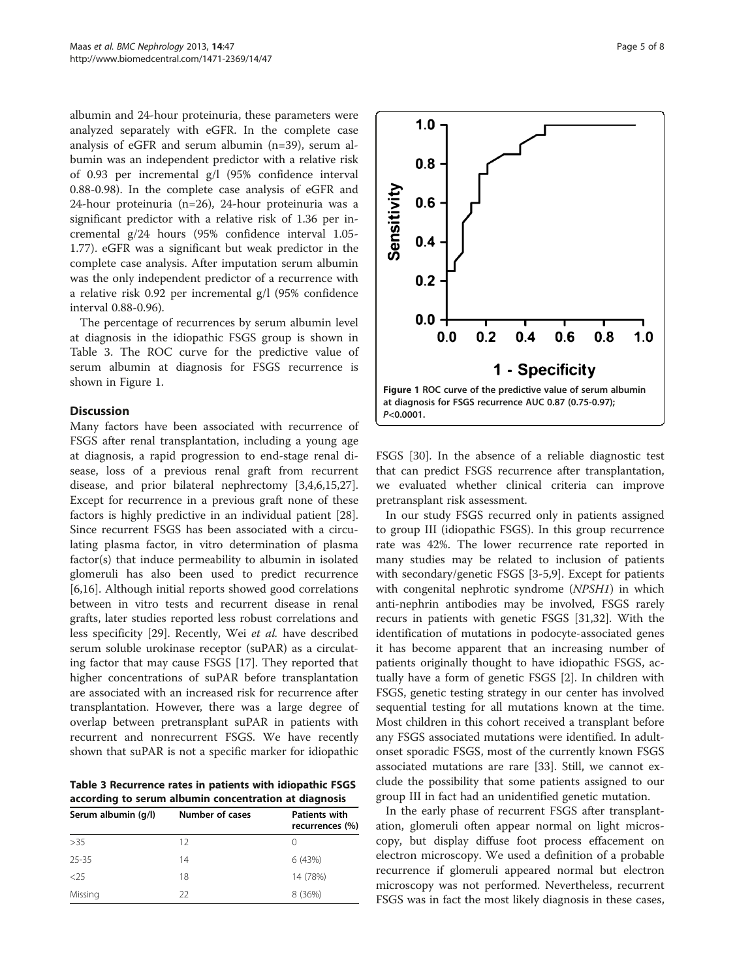albumin and 24-hour proteinuria, these parameters were analyzed separately with eGFR. In the complete case analysis of eGFR and serum albumin (n=39), serum albumin was an independent predictor with a relative risk of 0.93 per incremental g/l (95% confidence interval 0.88-0.98). In the complete case analysis of eGFR and 24-hour proteinuria (n=26), 24-hour proteinuria was a significant predictor with a relative risk of 1.36 per incremental g/24 hours (95% confidence interval 1.05- 1.77). eGFR was a significant but weak predictor in the complete case analysis. After imputation serum albumin was the only independent predictor of a recurrence with a relative risk 0.92 per incremental g/l (95% confidence interval 0.88-0.96).

The percentage of recurrences by serum albumin level at diagnosis in the idiopathic FSGS group is shown in Table 3. The ROC curve for the predictive value of serum albumin at diagnosis for FSGS recurrence is shown in Figure 1.

## **Discussion**

Many factors have been associated with recurrence of FSGS after renal transplantation, including a young age at diagnosis, a rapid progression to end-stage renal disease, loss of a previous renal graft from recurrent disease, and prior bilateral nephrectomy [\[3,4,6,15](#page-6-0)[,27](#page-7-0)]. Except for recurrence in a previous graft none of these factors is highly predictive in an individual patient [\[28](#page-7-0)]. Since recurrent FSGS has been associated with a circulating plasma factor, in vitro determination of plasma factor(s) that induce permeability to albumin in isolated glomeruli has also been used to predict recurrence [[6,16\]](#page-6-0). Although initial reports showed good correlations between in vitro tests and recurrent disease in renal grafts, later studies reported less robust correlations and less specificity [[29\]](#page-7-0). Recently, Wei et al. have described serum soluble urokinase receptor (suPAR) as a circulating factor that may cause FSGS [[17\]](#page-6-0). They reported that higher concentrations of suPAR before transplantation are associated with an increased risk for recurrence after transplantation. However, there was a large degree of overlap between pretransplant suPAR in patients with recurrent and nonrecurrent FSGS. We have recently shown that suPAR is not a specific marker for idiopathic

Table 3 Recurrence rates in patients with idiopathic FSGS according to serum albumin concentration at diagnosis

| Serum albumin (g/l) | Number of cases | <b>Patients with</b><br>recurrences (%) |
|---------------------|-----------------|-----------------------------------------|
| >35                 | 12              |                                         |
| 25-35               | 14              | 6 (43%)                                 |
| $<$ 25              | 18              | 14 (78%)                                |
| Missing             | 22              | 8 (36%)                                 |



pretransplant risk assessment.

In our study FSGS recurred only in patients assigned to group III (idiopathic FSGS). In this group recurrence rate was 42%. The lower recurrence rate reported in many studies may be related to inclusion of patients with secondary/genetic FSGS [[3-5,9](#page-6-0)]. Except for patients with congenital nephrotic syndrome (NPSH1) in which anti-nephrin antibodies may be involved, FSGS rarely recurs in patients with genetic FSGS [[31,32\]](#page-7-0). With the identification of mutations in podocyte-associated genes it has become apparent that an increasing number of patients originally thought to have idiopathic FSGS, actually have a form of genetic FSGS [[2](#page-6-0)]. In children with FSGS, genetic testing strategy in our center has involved sequential testing for all mutations known at the time. Most children in this cohort received a transplant before any FSGS associated mutations were identified. In adultonset sporadic FSGS, most of the currently known FSGS associated mutations are rare [\[33\]](#page-7-0). Still, we cannot exclude the possibility that some patients assigned to our group III in fact had an unidentified genetic mutation.

In the early phase of recurrent FSGS after transplantation, glomeruli often appear normal on light microscopy, but display diffuse foot process effacement on electron microscopy. We used a definition of a probable recurrence if glomeruli appeared normal but electron microscopy was not performed. Nevertheless, recurrent FSGS was in fact the most likely diagnosis in these cases,

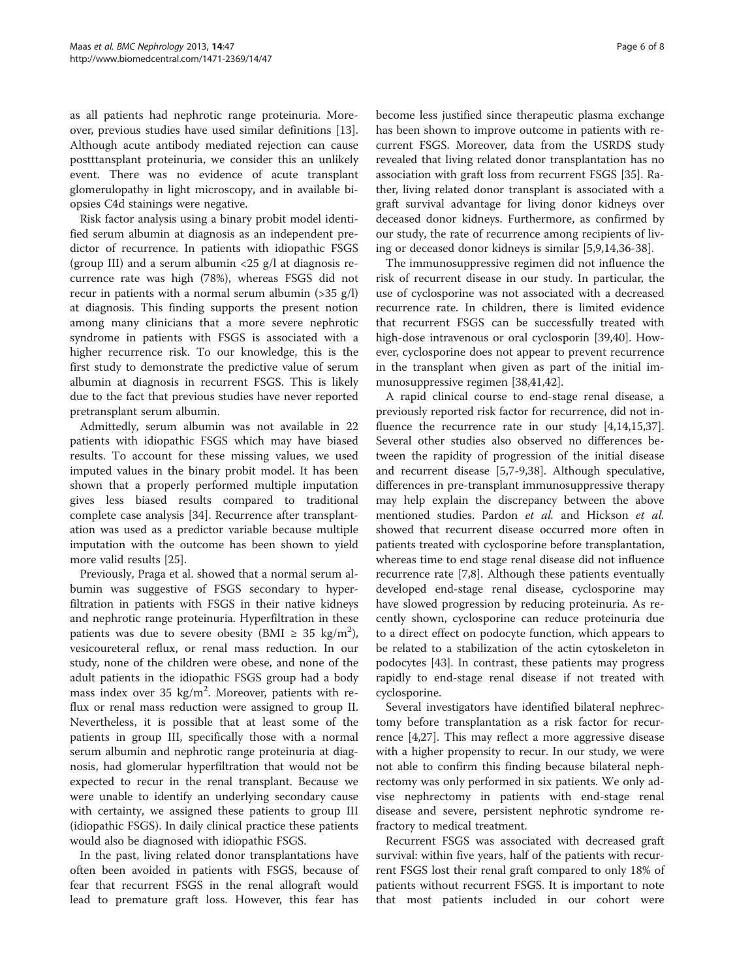as all patients had nephrotic range proteinuria. Moreover, previous studies have used similar definitions [\[13](#page-6-0)]. Although acute antibody mediated rejection can cause postttansplant proteinuria, we consider this an unlikely event. There was no evidence of acute transplant glomerulopathy in light microscopy, and in available biopsies C4d stainings were negative.

Risk factor analysis using a binary probit model identified serum albumin at diagnosis as an independent predictor of recurrence. In patients with idiopathic FSGS (group III) and a serum albumin  $\langle 25 \text{ g}/l \text{ at diagnosis} \rangle$ currence rate was high (78%), whereas FSGS did not recur in patients with a normal serum albumin  $(>35 \text{ g/l})$ at diagnosis. This finding supports the present notion among many clinicians that a more severe nephrotic syndrome in patients with FSGS is associated with a higher recurrence risk. To our knowledge, this is the first study to demonstrate the predictive value of serum albumin at diagnosis in recurrent FSGS. This is likely due to the fact that previous studies have never reported pretransplant serum albumin.

Admittedly, serum albumin was not available in 22 patients with idiopathic FSGS which may have biased results. To account for these missing values, we used imputed values in the binary probit model. It has been shown that a properly performed multiple imputation gives less biased results compared to traditional complete case analysis [[34\]](#page-7-0). Recurrence after transplantation was used as a predictor variable because multiple imputation with the outcome has been shown to yield more valid results [\[25\]](#page-7-0).

Previously, Praga et al. showed that a normal serum albumin was suggestive of FSGS secondary to hyperfiltration in patients with FSGS in their native kidneys and nephrotic range proteinuria. Hyperfiltration in these patients was due to severe obesity (BMI  $\geq 35$  kg/m<sup>2</sup>), vesicoureteral reflux, or renal mass reduction. In our study, none of the children were obese, and none of the adult patients in the idiopathic FSGS group had a body mass index over 35 kg/m<sup>2</sup>. Moreover, patients with reflux or renal mass reduction were assigned to group II. Nevertheless, it is possible that at least some of the patients in group III, specifically those with a normal serum albumin and nephrotic range proteinuria at diagnosis, had glomerular hyperfiltration that would not be expected to recur in the renal transplant. Because we were unable to identify an underlying secondary cause with certainty, we assigned these patients to group III (idiopathic FSGS). In daily clinical practice these patients would also be diagnosed with idiopathic FSGS.

In the past, living related donor transplantations have often been avoided in patients with FSGS, because of fear that recurrent FSGS in the renal allograft would lead to premature graft loss. However, this fear has

become less justified since therapeutic plasma exchange has been shown to improve outcome in patients with recurrent FSGS. Moreover, data from the USRDS study revealed that living related donor transplantation has no association with graft loss from recurrent FSGS [\[35](#page-7-0)]. Rather, living related donor transplant is associated with a graft survival advantage for living donor kidneys over deceased donor kidneys. Furthermore, as confirmed by our study, the rate of recurrence among recipients of living or deceased donor kidneys is similar [[5,9,14,](#page-6-0)[36-38\]](#page-7-0).

The immunosuppressive regimen did not influence the risk of recurrent disease in our study. In particular, the use of cyclosporine was not associated with a decreased recurrence rate. In children, there is limited evidence that recurrent FSGS can be successfully treated with high-dose intravenous or oral cyclosporin [[39,40\]](#page-7-0). However, cyclosporine does not appear to prevent recurrence in the transplant when given as part of the initial immunosuppressive regimen [[38,41,42\]](#page-7-0).

A rapid clinical course to end-stage renal disease, a previously reported risk factor for recurrence, did not in-fluence the recurrence rate in our study [\[4](#page-6-0),[14,15](#page-6-0)[,37](#page-7-0)]. Several other studies also observed no differences between the rapidity of progression of the initial disease and recurrent disease [\[5,7](#page-6-0)-[9,](#page-6-0)[38\]](#page-7-0). Although speculative, differences in pre-transplant immunosuppressive therapy may help explain the discrepancy between the above mentioned studies. Pardon et al. and Hickson et al. showed that recurrent disease occurred more often in patients treated with cyclosporine before transplantation, whereas time to end stage renal disease did not influence recurrence rate [\[7,8](#page-6-0)]. Although these patients eventually developed end-stage renal disease, cyclosporine may have slowed progression by reducing proteinuria. As recently shown, cyclosporine can reduce proteinuria due to a direct effect on podocyte function, which appears to be related to a stabilization of the actin cytoskeleton in podocytes [\[43](#page-7-0)]. In contrast, these patients may progress rapidly to end-stage renal disease if not treated with cyclosporine.

Several investigators have identified bilateral nephrectomy before transplantation as a risk factor for recurrence [[4,](#page-6-0)[27\]](#page-7-0). This may reflect a more aggressive disease with a higher propensity to recur. In our study, we were not able to confirm this finding because bilateral nephrectomy was only performed in six patients. We only advise nephrectomy in patients with end-stage renal disease and severe, persistent nephrotic syndrome refractory to medical treatment.

Recurrent FSGS was associated with decreased graft survival: within five years, half of the patients with recurrent FSGS lost their renal graft compared to only 18% of patients without recurrent FSGS. It is important to note that most patients included in our cohort were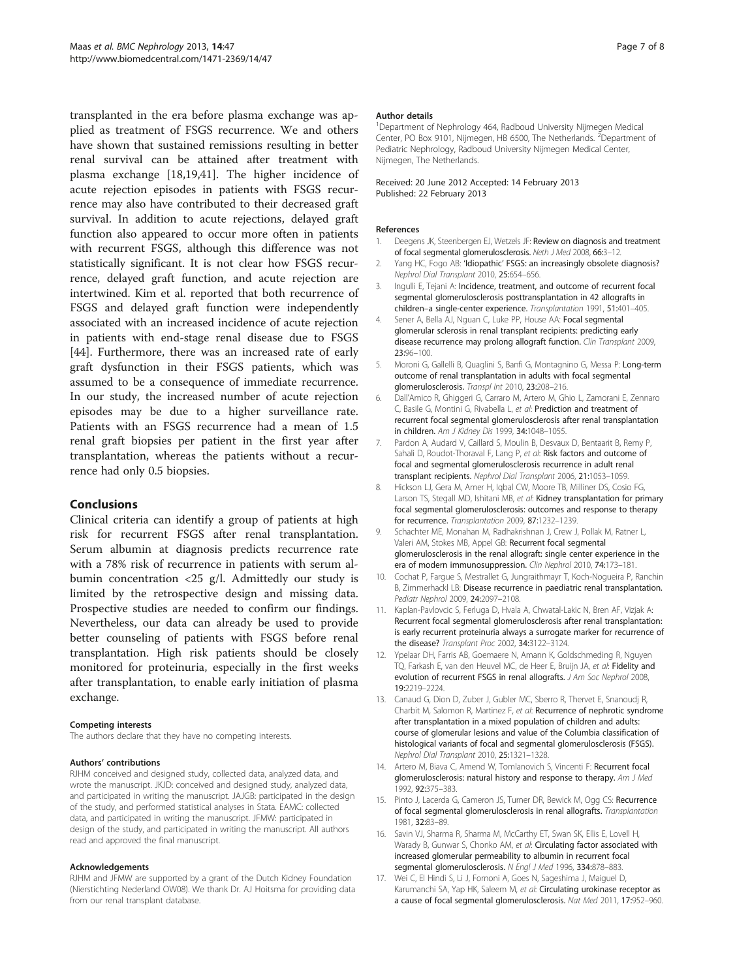<span id="page-6-0"></span>transplanted in the era before plasma exchange was applied as treatment of FSGS recurrence. We and others have shown that sustained remissions resulting in better renal survival can be attained after treatment with plasma exchange [\[18,19,41](#page-7-0)]. The higher incidence of acute rejection episodes in patients with FSGS recurrence may also have contributed to their decreased graft survival. In addition to acute rejections, delayed graft function also appeared to occur more often in patients with recurrent FSGS, although this difference was not statistically significant. It is not clear how FSGS recurrence, delayed graft function, and acute rejection are intertwined. Kim et al. reported that both recurrence of FSGS and delayed graft function were independently associated with an increased incidence of acute rejection in patients with end-stage renal disease due to FSGS [[44\]](#page-7-0). Furthermore, there was an increased rate of early graft dysfunction in their FSGS patients, which was assumed to be a consequence of immediate recurrence. In our study, the increased number of acute rejection episodes may be due to a higher surveillance rate. Patients with an FSGS recurrence had a mean of 1.5 renal graft biopsies per patient in the first year after transplantation, whereas the patients without a recurrence had only 0.5 biopsies.

# Conclusions

Clinical criteria can identify a group of patients at high risk for recurrent FSGS after renal transplantation. Serum albumin at diagnosis predicts recurrence rate with a 78% risk of recurrence in patients with serum albumin concentration <25 g/l. Admittedly our study is limited by the retrospective design and missing data. Prospective studies are needed to confirm our findings. Nevertheless, our data can already be used to provide better counseling of patients with FSGS before renal transplantation. High risk patients should be closely monitored for proteinuria, especially in the first weeks after transplantation, to enable early initiation of plasma exchange.

#### Competing interests

The authors declare that they have no competing interests.

#### Authors' contributions

RJHM conceived and designed study, collected data, analyzed data, and wrote the manuscript. JKJD: conceived and designed study, analyzed data, and participated in writing the manuscript. JAJGB: participated in the design of the study, and performed statistical analyses in Stata. EAMC: collected data, and participated in writing the manuscript. JFMW: participated in design of the study, and participated in writing the manuscript. All authors read and approved the final manuscript.

#### Acknowledgements

RJHM and JFMW are supported by a grant of the Dutch Kidney Foundation (Nierstichting Nederland OW08). We thank Dr. AJ Hoitsma for providing data from our renal transplant database.

#### Author details

1 Department of Nephrology 464, Radboud University Nijmegen Medical Center, PO Box 9101, Nijmegen, HB 6500, The Netherlands. <sup>2</sup>Department of Pediatric Nephrology, Radboud University Nijmegen Medical Center, Nijmegen, The Netherlands.

Received: 20 June 2012 Accepted: 14 February 2013 Published: 22 February 2013

#### References

- 1. Deegens JK, Steenbergen EJ, Wetzels JF: Review on diagnosis and treatment of focal segmental glomerulosclerosis. Neth J Med 2008, 66:3–12.
- Yang HC, Fogo AB: 'Idiopathic' FSGS: an increasingly obsolete diagnosis? Nephrol Dial Transplant 2010, 25:654–656.
- Ingulli E, Tejani A: Incidence, treatment, and outcome of recurrent focal segmental glomerulosclerosis posttransplantation in 42 allografts in children–a single-center experience. Transplantation 1991, 51:401–405.
- 4. Sener A, Bella AJ, Nguan C, Luke PP, House AA: Focal segmental glomerular sclerosis in renal transplant recipients: predicting early disease recurrence may prolong allograft function. Clin Transplant 2009, 23:96–100.
- 5. Moroni G, Gallelli B, Quaglini S, Banfi G, Montagnino G, Messa P: Long-term outcome of renal transplantation in adults with focal segmental glomerulosclerosis. Transpl Int 2010, 23:208-216.
- 6. Dall'Amico R, Ghiggeri G, Carraro M, Artero M, Ghio L, Zamorani E, Zennaro C, Basile G, Montini G, Rivabella L, et al: Prediction and treatment of recurrent focal segmental glomerulosclerosis after renal transplantation in children. Am J Kidney Dis 1999, 34:1048–1055.
- 7. Pardon A, Audard V, Caillard S, Moulin B, Desvaux D, Bentaarit B, Remy P, Sahali D, Roudot-Thoraval F, Lang P, et al: Risk factors and outcome of focal and segmental glomerulosclerosis recurrence in adult renal transplant recipients. Nephrol Dial Transplant 2006, 21:1053–1059.
- 8. Hickson LJ, Gera M, Amer H, Iqbal CW, Moore TB, Milliner DS, Cosio FG, Larson TS, Stegall MD, Ishitani MB, et al: Kidney transplantation for primary focal segmental glomerulosclerosis: outcomes and response to therapy for recurrence. Transplantation 2009, 87:1232–1239.
- 9. Schachter ME, Monahan M, Radhakrishnan J, Crew J, Pollak M, Ratner L, Valeri AM, Stokes MB, Appel GB: Recurrent focal segmental glomerulosclerosis in the renal allograft: single center experience in the era of modern immunosuppression. Clin Nephrol 2010, 74:173–181.
- 10. Cochat P, Fargue S, Mestrallet G, Jungraithmayr T, Koch-Nogueira P, Ranchin B, Zimmerhackl LB: Disease recurrence in paediatric renal transplantation. Pediatr Nephrol 2009, 24:2097–2108.
- 11. Kaplan-Pavlovcic S, Ferluga D, Hvala A, Chwatal-Lakic N, Bren AF, Vizjak A: Recurrent focal segmental glomerulosclerosis after renal transplantation: is early recurrent proteinuria always a surrogate marker for recurrence of the disease? Transplant Proc 2002, 34:3122–3124.
- 12. Ypelaar DH, Farris AB, Goemaere N, Amann K, Goldschmeding R, Nguyen TQ, Farkash E, van den Heuvel MC, de Heer E, Bruijn JA, et al: Fidelity and evolution of recurrent FSGS in renal allografts. J Am Soc Nephrol 2008, 19:2219–2224.
- 13. Canaud G, Dion D, Zuber J, Gubler MC, Sberro R, Thervet E, Snanoudj R, Charbit M, Salomon R, Martinez F, et al: Recurrence of nephrotic syndrome after transplantation in a mixed population of children and adults: course of glomerular lesions and value of the Columbia classification of histological variants of focal and segmental glomerulosclerosis (FSGS). Nephrol Dial Transplant 2010, 25:1321–1328.
- 14. Artero M, Biava C, Amend W, Tomlanovich S, Vincenti F: Recurrent focal glomerulosclerosis: natural history and response to therapy. Am J Med 1992, 92:375–383.
- 15. Pinto J, Lacerda G, Cameron JS, Turner DR, Bewick M, Ogg CS: Recurrence of focal segmental glomerulosclerosis in renal allografts. Transplantation 1981, 32:83–89.
- 16. Savin VJ, Sharma R, Sharma M, McCarthy ET, Swan SK, Ellis E, Lovell H, Warady B, Gunwar S, Chonko AM, et al: Circulating factor associated with increased glomerular permeability to albumin in recurrent focal segmental glomerulosclerosis. N Engl J Med 1996, 334:878–883.
- 17. Wei C, El Hindi S, Li J, Fornoni A, Goes N, Sageshima J, Maiguel D, Karumanchi SA, Yap HK, Saleem M, et al: Circulating urokinase receptor as a cause of focal segmental glomerulosclerosis. Nat Med 2011, 17:952–960.